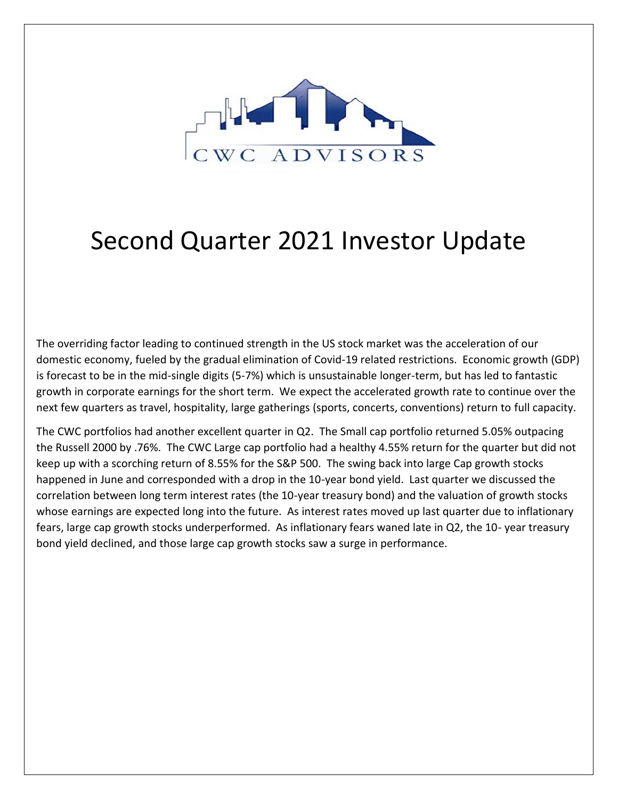

## Second Quarter 2021 Investor Update

The overriding factor leading to continued strength in the US stock market was the acceleration of our domestic economy, fueled by the gradual elimination of Covid-19 related restrictions. Economic growth (GDP) is forecast to be in the mid-single digits (5-7%) which is unsustainable longer-term, but has led to fantastic growth in corporate earnings for the short term. We expect the accelerated growth rate to continue over the next few quarters as travel, hospitality, large gatherings (sports, concerts, conventions) return to full capacity.

The CWC portfolios had another excellent quarter in Q2. The Small cap portfolio returned 5.05% outpacing the Russell 2000 by .76%. The CWC Large cap portfolio had a healthy 4.55% return for the quarter but did not keep up with a scorching return of 8.55% for the S&P 500. The swing back into large Cap growth stocks happened in June and corresponded with a drop in the 10-year bond yield. Last quarter we discussed the correlation between long term interest rates (the 10-year treasury bond) and the valuation of growth stocks whose earnings are expected long into the future. As interest rates moved up last quarter due to inflationary fears, large cap growth stocks underperformed. As inflationary fears waned late in Q2, the 10- year treasury bond yield declined, and those large cap growth stocks saw a surge in performance.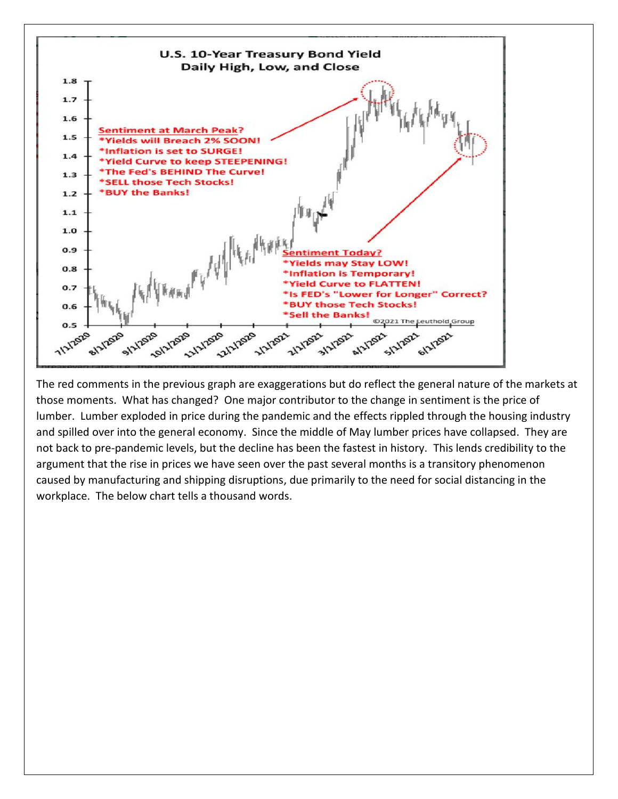

The red comments in the previous graph are exaggerations but do reflect the general nature of the markets at those moments. What has changed? One major contributor to the change in sentiment is the price of lumber. Lumber exploded in price during the pandemic and the effects rippled through the housing industry and spilled over into the general economy. Since the middle of May lumber prices have collapsed. They are not back to pre-pandemic levels, but the decline has been the fastest in history. This lends credibility to the argument that the rise in prices we have seen over the past several months is a transitory phenomenon caused by manufacturing and shipping disruptions, due primarily to the need for social distancing in the workplace. The below chart tells a thousand words.